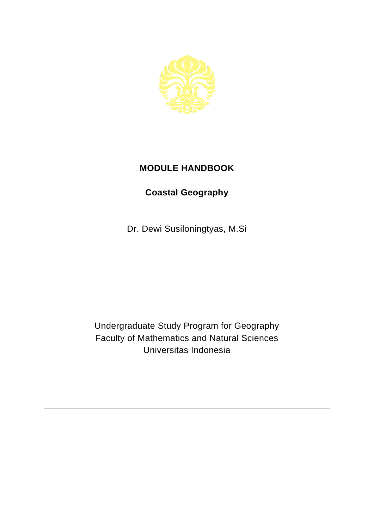

## **MODULE HANDBOOK**

## **Coastal Geography**

Dr. Dewi Susiloningtyas, M.Si

Undergraduate Study Program for Geography Faculty of Mathematics and Natural Sciences Universitas Indonesia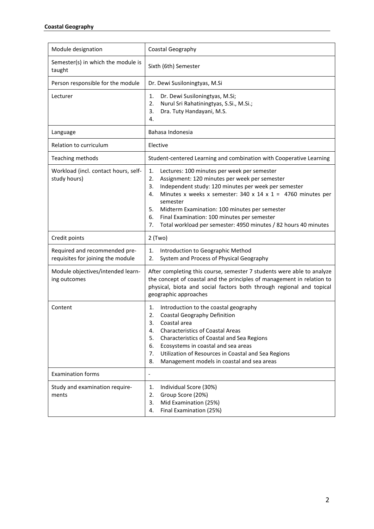| Module designation                                                 | Coastal Geography                                                                                                                                                                                                                                                                                                                                                                                                                                        |
|--------------------------------------------------------------------|----------------------------------------------------------------------------------------------------------------------------------------------------------------------------------------------------------------------------------------------------------------------------------------------------------------------------------------------------------------------------------------------------------------------------------------------------------|
| Semester(s) in which the module is<br>taught                       | Sixth (6th) Semester                                                                                                                                                                                                                                                                                                                                                                                                                                     |
| Person responsible for the module                                  | Dr. Dewi Susiloningtyas, M.Si                                                                                                                                                                                                                                                                                                                                                                                                                            |
| Lecturer                                                           | Dr. Dewi Susiloningtyas, M.Si;<br>1.<br>Nurul Sri Rahatiningtyas, S.Si., M.Si.;<br>2.<br>3.<br>Dra. Tuty Handayani, M.S.<br>4.                                                                                                                                                                                                                                                                                                                           |
| Language                                                           | Bahasa Indonesia                                                                                                                                                                                                                                                                                                                                                                                                                                         |
| Relation to curriculum                                             | Elective                                                                                                                                                                                                                                                                                                                                                                                                                                                 |
| Teaching methods                                                   | Student-centered Learning and combination with Cooperative Learning                                                                                                                                                                                                                                                                                                                                                                                      |
| Workload (incl. contact hours, self-<br>study hours)               | 1.<br>Lectures: 100 minutes per week per semester<br>2.<br>Assignment: 120 minutes per week per semester<br>Independent study: 120 minutes per week per semester<br>3.<br>Minutes x weeks x semester: $340 \times 14 \times 1 = 4760$ minutes per<br>4.<br>semester<br>5.<br>Midterm Examination: 100 minutes per semester<br>6.<br>Final Examination: 100 minutes per semester<br>7.<br>Total workload per semester: 4950 minutes / 82 hours 40 minutes |
| Credit points                                                      | $2$ (Two)                                                                                                                                                                                                                                                                                                                                                                                                                                                |
| Required and recommended pre-<br>requisites for joining the module | Introduction to Geographic Method<br>1.<br>2.<br>System and Process of Physical Geography                                                                                                                                                                                                                                                                                                                                                                |
| Module objectives/intended learn-<br>ing outcomes                  | After completing this course, semester 7 students were able to analyze<br>the concept of coastal and the principles of management in relation to<br>physical, biota and social factors both through regional and topical<br>geographic approaches                                                                                                                                                                                                        |
| Content                                                            | Introduction to the coastal geography<br>1.<br><b>Coastal Geography Definition</b><br>2.<br>3.<br>Coastal area<br><b>Characteristics of Coastal Areas</b><br>4.<br>Characteristics of Coastal and Sea Regions<br>5.<br>6.<br>Ecosystems in coastal and sea areas<br>Utilization of Resources in Coastal and Sea Regions<br>7.<br>Management models in coastal and sea areas<br>8.                                                                        |
| <b>Examination forms</b>                                           | $\overline{a}$                                                                                                                                                                                                                                                                                                                                                                                                                                           |
| Study and examination require-<br>ments                            | Individual Score (30%)<br>1.<br>Group Score (20%)<br>2.<br>Mid Examination (25%)<br>3.<br>Final Examination (25%)<br>4.                                                                                                                                                                                                                                                                                                                                  |